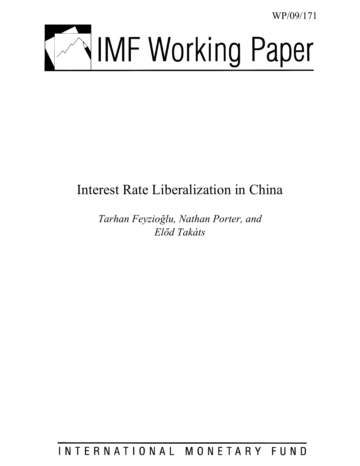WP/09/171



# Interest Rate Liberalization in China

*Tarhan Feyzioğlu, Nathan Porter, and Előd Takáts* 

INTERNATIONAL MONETARY FUND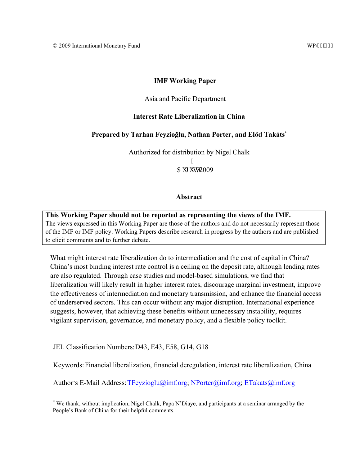## **IMF Working Paper**

## Asia and Pacific Department

## **Interest Rate Liberalization in China**

## **Prepared by Tarhan Feyzioğlu, Nathan Porter, and Előd Takáts\***

Authorized for distribution by Nigel Chalk

ľ  $C<sub>W</sub>$  ww<sup> $2009$ </sup>

#### **Abstract**

**This Working Paper should not be reported as representing the views of the IMF.** The views expressed in this Working Paper are those of the authors and do not necessarily represent those of the IMF or IMF policy. Working Papers describe research in progress by the authors and are published to elicit comments and to further debate.

What might interest rate liberalization do to intermediation and the cost of capital in China? China's most binding interest rate control is a ceiling on the deposit rate, although lending rates are also regulated. Through case studies and model-based simulations, we find that liberalization will likely result in higher interest rates, discourage marginal investment, improve the effectiveness of intermediation and monetary transmission, and enhance the financial access of underserved sectors. This can occur without any major disruption. International experience suggests, however, that achieving these benefits without unnecessary instability, requires vigilant supervision, governance, and monetary policy, and a flexible policy toolkit.

JEL Classification Numbers: D43, E43, E58, G14, G18

 $\overline{a}$ 

Keywords: Financial liberalization, financial deregulation, interest rate liberalization, China

Author's E-Mail Address: TFeyzioglu@imf.org; NPorter@imf.org; ETakats@imf.org

<sup>\*</sup> We thank, without implication, Nigel Chalk, Papa N'Diaye, and participants at a seminar arranged by the People's Bank of China for their helpful comments.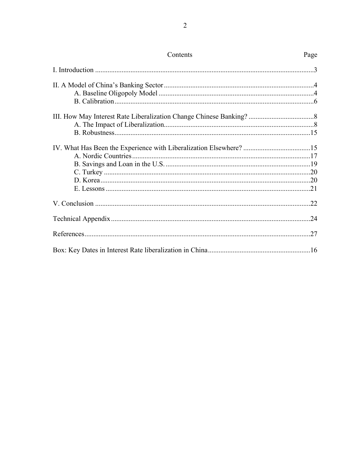| Contents | Page |
|----------|------|
|          |      |
|          |      |
|          |      |
|          |      |
|          |      |
|          |      |
|          |      |
|          |      |
|          |      |
|          |      |
|          |      |
|          |      |
|          |      |
|          |      |
|          |      |
|          | .27  |
|          |      |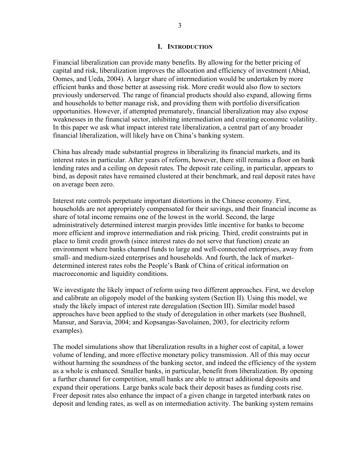#### **I. INTRODUCTION**

Financial liberalization can provide many benefits. By allowing for the better pricing of capital and risk, liberalization improves the allocation and efficiency of investment (Abiad, Oomes, and Ueda, 2004). A larger share of intermediation would be undertaken by more efficient banks and those better at assessing risk. More credit would also flow to sectors previously underserved. The range of financial products should also expand, allowing firms and households to better manage risk, and providing them with portfolio diversification opportunities. However, if attempted prematurely, financial liberalization may also expose weaknesses in the financial sector, inhibiting intermediation and creating economic volatility. In this paper we ask what impact interest rate liberalization, a central part of any broader financial liberalization, will likely have on China's banking system.

China has already made substantial progress in liberalizing its financial markets, and its interest rates in particular. After years of reform, however, there still remains a floor on bank lending rates and a ceiling on deposit rates. The deposit rate ceiling, in particular, appears to bind, as deposit rates have remained clustered at their benchmark, and real deposit rates have on average been zero.

Interest rate controls perpetuate important distortions in the Chinese economy. First, households are not appropriately compensated for their savings, and their financial income as share of total income remains one of the lowest in the world. Second, the large administratively determined interest margin provides little incentive for banks to become more efficient and improve intermediation and risk pricing. Third, credit constraints put in place to limit credit growth (since interest rates do not serve that function) create an environment where banks channel funds to large and well-connected enterprises, away from small- and medium-sized enterprises and households. And fourth, the lack of marketdetermined interest rates robs the People's Bank of China of critical information on macroeconomic and liquidity conditions.

We investigate the likely impact of reform using two different approaches. First, we develop and calibrate an oligopoly model of the banking system (Section II). Using this model, we study the likely impact of interest rate deregulation (Section III). Similar model based approaches have been applied to the study of deregulation in other markets (see Bushnell, Mansur, and Saravia, 2004; and Kopsangas-Savolainen, 2003, for electricity reform examples).

The model simulations show that liberalization results in a higher cost of capital, a lower volume of lending, and more effective monetary policy transmission. All of this may occur without harming the soundness of the banking sector, and indeed the efficiency of the system as a whole is enhanced. Smaller banks, in particular, benefit from liberalization. By opening a further channel for competition, small banks are able to attract additional deposits and expand their operations. Large banks scale back their deposit bases as funding costs rise. Freer deposit rates also enhance the impact of a given change in targeted interbank rates on deposit and lending rates, as well as on intermediation activity. The banking system remains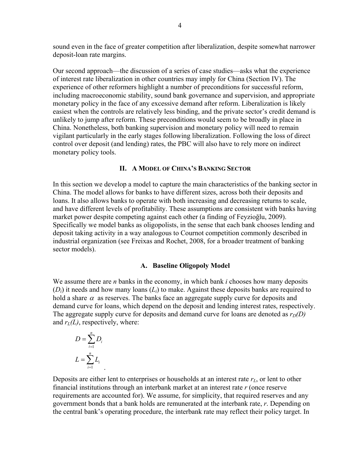sound even in the face of greater competition after liberalization, despite somewhat narrower deposit-loan rate margins.

Our second approach—the discussion of a series of case studies—asks what the experience of interest rate liberalization in other countries may imply for China (Section IV). The experience of other reformers highlight a number of preconditions for successful reform, including macroeconomic stability, sound bank governance and supervision, and appropriate monetary policy in the face of any excessive demand after reform. Liberalization is likely easiest when the controls are relatively less binding, and the private sector's credit demand is unlikely to jump after reform. These preconditions would seem to be broadly in place in China. Nonetheless, both banking supervision and monetary policy will need to remain vigilant particularly in the early stages following liberalization. Following the loss of direct control over deposit (and lending) rates, the PBC will also have to rely more on indirect monetary policy tools.

#### **II. A MODEL OF CHINA'S BANKING SECTOR**

In this section we develop a model to capture the main characteristics of the banking sector in China. The model allows for banks to have different sizes, across both their deposits and loans. It also allows banks to operate with both increasing and decreasing returns to scale, and have different levels of profitability. These assumptions are consistent with banks having market power despite competing against each other (a finding of Feyzioğlu, 2009). Specifically we model banks as oligopolists, in the sense that each bank chooses lending and deposit taking activity in a way analogous to Cournot competition commonly described in industrial organization (see Freixas and Rochet, 2008, for a broader treatment of banking sector models).

## **A. Baseline Oligopoly Model**

We assume there are *n* banks in the economy, in which bank *i* chooses how many deposits (*Di*) it needs and how many loans (*Li*) to make. Against these deposits banks are required to hold a share  $\alpha$  as reserves. The banks face an aggregate supply curve for deposits and demand curve for loans, which depend on the deposit and lending interest rates, respectively. The aggregate supply curve for deposits and demand curve for loans are denoted as  $r_D(D)$ and  $r_l(L)$ , respectively, where:

$$
D = \sum_{i=1}^{n} D_i
$$
  

$$
L = \sum_{i=1}^{n} L_i
$$

Deposits are either lent to enterprises or households at an interest rate  $r<sub>L</sub>$ , or lent to other financial institutions through an interbank market at an interest rate *r* (once reserve requirements are accounted for). We assume, for simplicity, that required reserves and any government bonds that a bank holds are remunerated at the interbank rate, *r*. Depending on the central bank's operating procedure, the interbank rate may reflect their policy target. In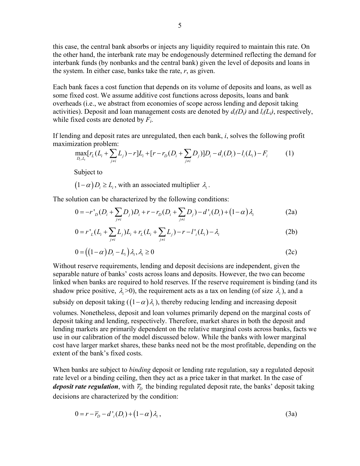this case, the central bank absorbs or injects any liquidity required to maintain this rate. On the other hand, the interbank rate may be endogenously determined reflecting the demand for interbank funds (by nonbanks and the central bank) given the level of deposits and loans in the system. In either case, banks take the rate, *r*, as given.

Each bank faces a cost function that depends on its volume of deposits and loans, as well as some fixed cost. We assume additive cost functions across deposits, loans and bank overheads (i.e., we abstract from economies of scope across lending and deposit taking activities). Deposit and loan management costs are denoted by *di(Di)* and *li(Li)*, respectively, while fixed costs are denoted by *Fi*.

If lending and deposit rates are unregulated, then each bank, *i*, solves the following profit maximization problem:

$$
\max_{D_i, L_i} [r_L(L_i + \sum_{j \neq i} L_j) - r] L_i + [r - r_D(D_i + \sum_{j \neq i} D_j)] D_i - d_i(D_i) - l_i(L_i) - F_i \tag{1}
$$

Subject to

 $(1 - \alpha) D \ge L$ , with an associated multiplier  $\lambda$ .

The solution can be characterized by the following conditions:

$$
0 = -r'_{D}(D_{i} + \sum_{j \neq i} D_{j})D_{i} + r - r_{D}(D_{i} + \sum_{j \neq i} D_{j}) - d'_{i}(D_{i}) + (1 - \alpha)\lambda_{i}
$$
 (2a)

$$
0 = r'_{L}(L_i + \sum_{j \neq i} L_j)L_i + r_{L}(L_i + \sum_{j \neq i} L_j) - r - l'_{i}(L_i) - \lambda_i
$$
 (2b)

$$
0 = ((1 - \alpha)D_i - L_i)\lambda_i, \lambda_i \ge 0
$$
\n<sup>(2c)</sup>

Without reserve requirements, lending and deposit decisions are independent, given the separable nature of banks' costs across loans and deposits. However, the two can become linked when banks are required to hold reserves. If the reserve requirement is binding (and its shadow price positive,  $\lambda \ge 0$ ), the requirement acts as a tax on lending (of size  $\lambda_i$ ), and a subsidy on deposit taking  $(1-\alpha)\lambda$ , thereby reducing lending and increasing deposit

volumes. Nonetheless, deposit and loan volumes primarily depend on the marginal costs of deposit taking and lending, respectively. Therefore, market shares in both the deposit and lending markets are primarily dependent on the relative marginal costs across banks, facts we use in our calibration of the model discussed below. While the banks with lower marginal cost have larger market shares, these banks need not be the most profitable, depending on the extent of the bank's fixed costs.

When banks are subject to *binding* deposit or lending rate regulation, say a regulated deposit rate level or a binding ceiling, then they act as a price taker in that market. In the case of *deposit rate regulation*, with  $\bar{r}_p$  the binding regulated deposit rate, the banks' deposit taking decisions are characterized by the condition:

$$
0 = r - \overline{r}_D - d'_{i}(D_i) + (1 - \alpha) \lambda_i, \qquad (3a)
$$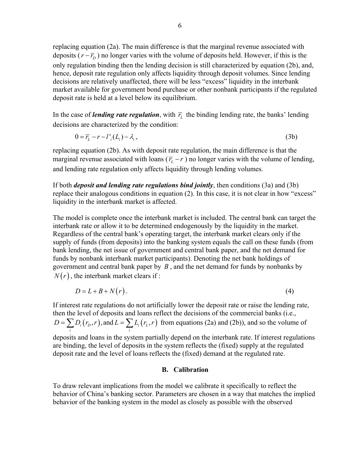replacing equation (2a). The main difference is that the marginal revenue associated with deposits  $(r - \overline{r}_p)$  no longer varies with the volume of deposits held. However, if this is the only regulation binding then the lending decision is still characterized by equation (2b), and, hence, deposit rate regulation only affects liquidity through deposit volumes. Since lending decisions are relatively unaffected, there will be less "excess" liquidity in the interbank market available for government bond purchase or other nonbank participants if the regulated deposit rate is held at a level below its equilibrium.

In the case of *lending rate regulation*, with  $\overline{r}_L$  the binding lending rate, the banks' lending decisions are characterized by the condition:

$$
0 = \overline{r}_L - r - l'_i(L_i) - \lambda_i, \qquad (3b)
$$

replacing equation (2b). As with deposit rate regulation, the main difference is that the marginal revenue associated with loans  $(\bar{r}_L - r)$  no longer varies with the volume of lending, and lending rate regulation only affects liquidity through lending volumes.

If both *deposit and lending rate regulations bind jointly*, then conditions (3a) and (3b) replace their analogous conditions in equation (2). In this case, it is not clear in how "excess" liquidity in the interbank market is affected.

The model is complete once the interbank market is included. The central bank can target the interbank rate or allow it to be determined endogenously by the liquidity in the market. Regardless of the central bank's operating target, the interbank market clears only if the supply of funds (from deposits) into the banking system equals the call on these funds (from bank lending, the net issue of government and central bank paper, and the net demand for funds by nonbank interbank market participants). Denoting the net bank holdings of government and central bank paper by *B* , and the net demand for funds by nonbanks by  $N(r)$ , the interbank market clears if:

$$
D = L + B + N(r). \tag{4}
$$

If interest rate regulations do not artificially lower the deposit rate or raise the lending rate, then the level of deposits and loans reflect the decisions of the commercial banks (i.e.,  $L_i(r_D, r)$ , and  $L = \sum L_i(r_L, r)$  $D = \sum_i D_i(r_i, r)$ , and  $L = \sum_i L_i(r_i, r)$  from equations (2a) and (2b)), and so the volume of

deposits and loans in the system partially depend on the interbank rate. If interest regulations are binding, the level of deposits in the system reflects the (fixed) supply at the regulated deposit rate and the level of loans reflects the (fixed) demand at the regulated rate.

### **B. Calibration**

To draw relevant implications from the model we calibrate it specifically to reflect the behavior of China's banking sector. Parameters are chosen in a way that matches the implied behavior of the banking system in the model as closely as possible with the observed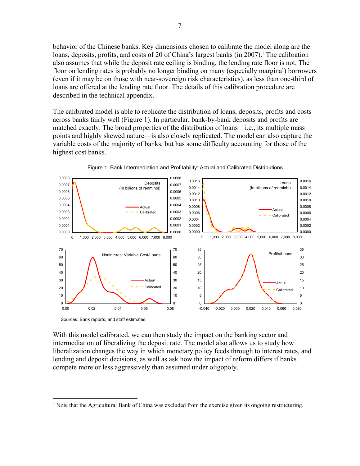behavior of the Chinese banks. Key dimensions chosen to calibrate the model along are the loans, deposits, profits, and costs of 20 of China's largest banks (in 2007).<sup>1</sup> The calibration also assumes that while the deposit rate ceiling is binding, the lending rate floor is not. The floor on lending rates is probably no longer binding on many (especially marginal) borrowers (even if it may be on those with near-sovereign risk characteristics), as less than one-third of loans are offered at the lending rate floor. The details of this calibration procedure are described in the technical appendix.

The calibrated model is able to replicate the distribution of loans, deposits, profits and costs across banks fairly well (Figure 1). In particular, bank-by-bank deposits and profits are matched exactly. The broad properties of the distribution of loans—i.e., its multiple mass points and highly skewed nature—is also closely replicated. The model can also capture the variable costs of the majority of banks, but has some difficulty accounting for those of the highest cost banks.





Sources: Bank reports; and staff estimates.

1

With this model calibrated, we can then study the impact on the banking sector and intermediation of liberalizing the deposit rate. The model also allows us to study how liberalization changes the way in which monetary policy feeds through to interest rates, and lending and deposit decisions, as well as ask how the impact of reform differs if banks compete more or less aggressively than assumed under oligopoly.

<sup>&</sup>lt;sup>1</sup> Note that the Agricultural Bank of China was excluded from the exercise given its ongoing restructuring.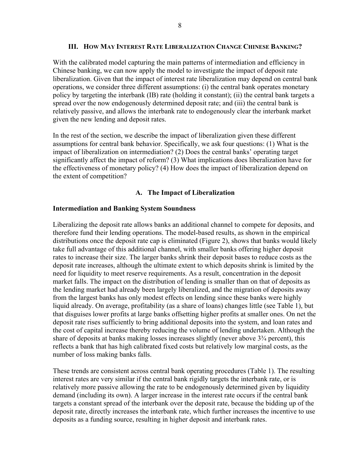## **III. HOW MAY INTEREST RATE LIBERALIZATION CHANGE CHINESE BANKING?**

With the calibrated model capturing the main patterns of intermediation and efficiency in Chinese banking, we can now apply the model to investigate the impact of deposit rate liberalization. Given that the impact of interest rate liberalization may depend on central bank operations, we consider three different assumptions: (i) the central bank operates monetary policy by targeting the interbank (IB) rate (holding it constant); (ii) the central bank targets a spread over the now endogenously determined deposit rate; and (iii) the central bank is relatively passive, and allows the interbank rate to endogenously clear the interbank market given the new lending and deposit rates.

In the rest of the section, we describe the impact of liberalization given these different assumptions for central bank behavior. Specifically, we ask four questions: (1) What is the impact of liberalization on intermediation? (2) Does the central banks' operating target significantly affect the impact of reform? (3) What implications does liberalization have for the effectiveness of monetary policy? (4) How does the impact of liberalization depend on the extent of competition?

## **A. The Impact of Liberalization**

## **Intermediation and Banking System Soundness**

Liberalizing the deposit rate allows banks an additional channel to compete for deposits, and therefore fund their lending operations. The model-based results, as shown in the empirical distributions once the deposit rate cap is eliminated (Figure 2), shows that banks would likely take full advantage of this additional channel, with smaller banks offering higher deposit rates to increase their size. The larger banks shrink their deposit bases to reduce costs as the deposit rate increases, although the ultimate extent to which deposits shrink is limited by the need for liquidity to meet reserve requirements. As a result, concentration in the deposit market falls. The impact on the distribution of lending is smaller than on that of deposits as the lending market had already been largely liberalized, and the migration of deposits away from the largest banks has only modest effects on lending since these banks were highly liquid already. On average, profitability (as a share of loans) changes little (see Table 1), but that disguises lower profits at large banks offsetting higher profits at smaller ones. On net the deposit rate rises sufficiently to bring additional deposits into the system, and loan rates and the cost of capital increase thereby reducing the volume of lending undertaken. Although the share of deposits at banks making losses increases slightly (never above 3¾ percent), this reflects a bank that has high calibrated fixed costs but relatively low marginal costs, as the number of loss making banks falls.

These trends are consistent across central bank operating procedures (Table 1). The resulting interest rates are very similar if the central bank rigidly targets the interbank rate, or is relatively more passive allowing the rate to be endogenously determined given by liquidity demand (including its own). A larger increase in the interest rate occurs if the central bank targets a constant spread of the interbank over the deposit rate, because the bidding up of the deposit rate, directly increases the interbank rate, which further increases the incentive to use deposits as a funding source, resulting in higher deposit and interbank rates.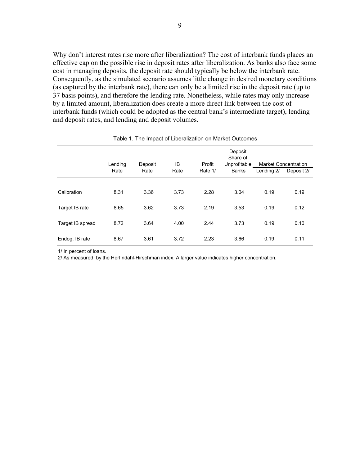Why don't interest rates rise more after liberalization? The cost of interbank funds places an effective cap on the possible rise in deposit rates after liberalization. As banks also face some cost in managing deposits, the deposit rate should typically be below the interbank rate. Consequently, as the simulated scenario assumes little change in desired monetary conditions (as captured by the interbank rate), there can only be a limited rise in the deposit rate (up to 37 basis points), and therefore the lending rate. Nonetheless, while rates may only increase by a limited amount, liberalization does create a more direct link between the cost of interbank funds (which could be adopted as the central bank's intermediate target), lending and deposit rates, and lending and deposit volumes.

|                  | Lending<br>Rate | Deposit<br>Rate | IB<br>Rate | Profit<br>Rate 1/ | Deposit<br>Share of<br>Unprofitable<br><b>Banks</b> | <b>Market Concentration</b><br>Lending 2/ | Deposit 2/ |
|------------------|-----------------|-----------------|------------|-------------------|-----------------------------------------------------|-------------------------------------------|------------|
|                  |                 |                 |            |                   |                                                     |                                           |            |
| Calibration      | 8.31            | 3.36            | 3.73       | 2.28              | 3.04                                                | 0.19                                      | 0.19       |
| Target IB rate   | 8.65            | 3.62            | 3.73       | 2.19              | 3.53                                                | 0.19                                      | 0.12       |
| Target IB spread | 8.72            | 3.64            | 4.00       | 2.44              | 3.73                                                | 0.19                                      | 0.10       |
| Endog. IB rate   | 8.67            | 3.61            | 3.72       | 2.23              | 3.66                                                | 0.19                                      | 0.11       |

#### Table 1. The Impact of Liberalization on Market Outcomes

1/ In percent of loans.

2/ As measured by the Herfindahl-Hirschman index. A larger value indicates higher concentration.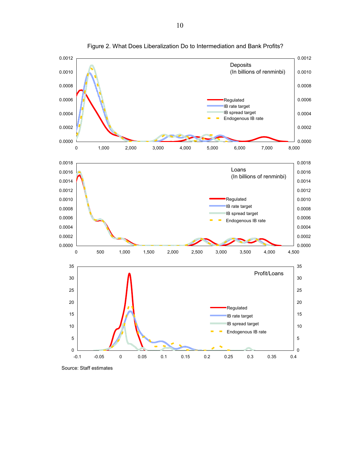

Figure 2. What Does Liberalization Do to Intermediation and Bank Profits?

Source: Staff estimates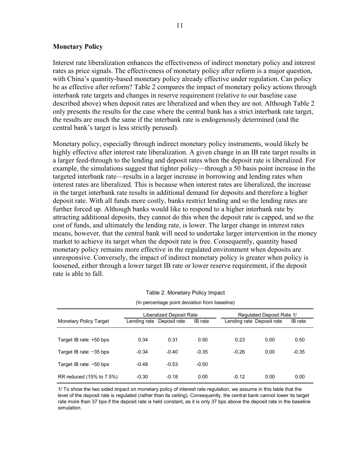## **Monetary Policy**

Interest rate liberalization enhances the effectiveness of indirect monetary policy and interest rates as price signals. The effectiveness of monetary policy after reform is a major question, with China's quantity-based monetary policy already effective under regulation. Can policy be as effective after reform? Table 2 compares the impact of monetary policy actions through interbank rate targets and changes in reserve requirement (relative to our baseline case described above) when deposit rates are liberalized and when they are not. Although Table 2 only presents the results for the case where the central bank has a strict interbank rate target, the results are much the same if the interbank rate is endogenously determined (and the central bank's target is less strictly perused).

Monetary policy, especially through indirect monetary policy instruments, would likely be highly effective after interest rate liberalization. A given change in an IB rate target results in a larger feed-through to the lending and deposit rates when the deposit rate is liberalized. For example, the simulations suggest that tighter policy—through a 50 basis point increase in the targeted interbank rate—results in a larger increase in borrowing and lending rates when interest rates are liberalized. This is because when interest rates are liberalized, the increase in the target interbank rate results in additional demand for deposits and therefore a higher deposit rate. With all funds more costly, banks restrict lending and so the lending rates are further forced up. Although banks would like to respond to a higher interbank rate by attracting additional deposits, they cannot do this when the deposit rate is capped, and so the cost of funds, and ultimately the lending rate, is lower. The larger change in interest rates means, however, that the central bank will need to undertake larger intervention in the money market to achieve its target when the deposit rate is free. Consequently, quantity based monetary policy remains more effective in the regulated environment when deposits are unresponsive. Conversely, the impact of indirect monetary policy is greater when policy is loosened, either through a lower target IB rate or lower reserve requirement, if the deposit rate is able to fall.

|                               |                           | Liberalized Deposit Rate |         | Regulated Deposit Rate 1/ |      |         |
|-------------------------------|---------------------------|--------------------------|---------|---------------------------|------|---------|
| <b>Monetary Policy Target</b> | Lending rate Deposit rate |                          | IB rate | Lending rate Deposit rate |      | IB rate |
|                               |                           |                          |         |                           |      |         |
| Target IB rate: +50 bps       | 0.34                      | 0.31                     | 0.50    | 0.23                      | 0.00 | 0.50    |
| Target IB rate: -35 bps       | $-0.34$                   | $-0.40$                  | $-0.35$ | $-0.26$                   | 0.00 | $-0.35$ |
| Target IB rate: -50 bps       | $-0.48$                   | $-0.53$                  | $-0.50$ |                           |      |         |
| RR reduced (15% to 7.5%)      | $-0.30$                   | $-0.18$                  | 0.00    | $-0.12$                   | 0.00 | 0.00    |

| Table 2. Monetary Policy Impact |  |
|---------------------------------|--|
|---------------------------------|--|

(In percentage point deviation from baseline)

1/ To show the two sided impact on monetary policy of interest rate regulation, we assume in this table that the level of the deposit rate is regulated (rather than its ceiling). Consequently, the central bank cannot lower its target rate more than 37 bps if the deposit rate is held constant, as it is only 37 bps above the deposit rate in the baseline simulation.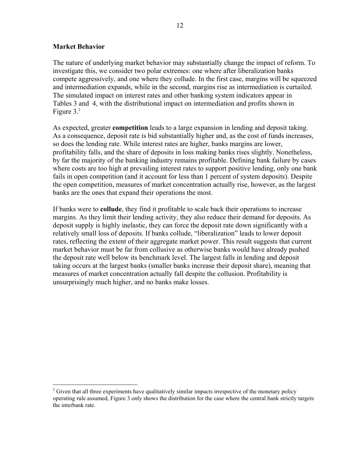## **Market Behavior**

<u>.</u>

The nature of underlying market behavior may substantially change the impact of reform. To investigate this, we consider two polar extremes: one where after liberalization banks compete aggressively, and one where they collude. In the first case, margins will be squeezed and intermediation expands, while in the second, margins rise as intermediation is curtailed. The simulated impact on interest rates and other banking system indicators appear in Tables 3 and 4, with the distributional impact on intermediation and profits shown in Figure 3.<sup>2</sup>

As expected, greater **competition** leads to a large expansion in lending and deposit taking. As a consequence, deposit rate is bid substantially higher and, as the cost of funds increases, so does the lending rate. While interest rates are higher, banks margins are lower, profitability falls, and the share of deposits in loss making banks rises slightly. Nonetheless, by far the majority of the banking industry remains profitable. Defining bank failure by cases where costs are too high at prevailing interest rates to support positive lending, only one bank fails in open competition (and it account for less than 1 percent of system deposits). Despite the open competition, measures of market concentration actually rise, however, as the largest banks are the ones that expand their operations the most.

If banks were to **collude**, they find it profitable to scale back their operations to increase margins. As they limit their lending activity, they also reduce their demand for deposits. As deposit supply is highly inelastic, they can force the deposit rate down significantly with a relatively small loss of deposits. If banks collude, "liberalization" leads to lower deposit rates, reflecting the extent of their aggregate market power. This result suggests that current market behavior must be far from collusive as otherwise banks would have already pushed the deposit rate well below its benchmark level. The largest falls in lending and deposit taking occurs at the largest banks (smaller banks increase their deposit share), meaning that measures of market concentration actually fall despite the collusion. Profitability is unsurprisingly much higher, and no banks make losses.

 $2^2$  Given that all three experiments have qualitatively similar impacts irrespective of the monetary policy operating rule assumed, Figure 3 only shows the distribution for the case where the central bank strictly targets the interbank rate.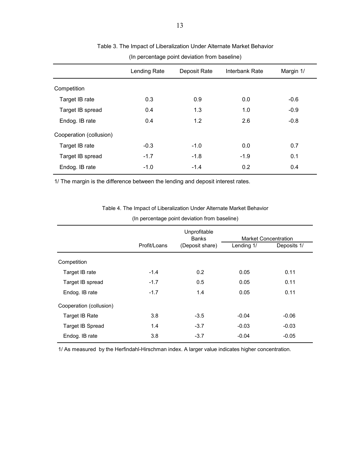|                         | Lending Rate | Deposit Rate | Interbank Rate | Margin 1/ |
|-------------------------|--------------|--------------|----------------|-----------|
| Competition             |              |              |                |           |
| Target IB rate          | 0.3          | 0.9          | 0.0            | $-0.6$    |
| Target IB spread        | 0.4          | 1.3          | 1.0            | $-0.9$    |
| Endog. IB rate          | 0.4          | 1.2          | 2.6            | $-0.8$    |
| Cooperation (collusion) |              |              |                |           |
| Target IB rate          | $-0.3$       | $-1.0$       | 0.0            | 0.7       |
| Target IB spread        | $-1.7$       | $-1.8$       | $-1.9$         | 0.1       |
| Endog. IB rate          | $-1.0$       | $-1.4$       | 0.2            | 0.4       |

#### Table 3. The Impact of Liberalization Under Alternate Market Behavior

(In percentage point deviation from baseline)

1/ The margin is the difference between the lending and deposit interest rates.

Table 4. The Impact of Liberalization Under Alternate Market Behavior

| (In percentage point deviation from baseline) |
|-----------------------------------------------|
|                                               |

|                         |              | Unprofitable<br><b>Banks</b> |            | <b>Market Concentration</b> |
|-------------------------|--------------|------------------------------|------------|-----------------------------|
|                         | Profit/Loans | (Deposit share)              | Lending 1/ | Deposits 1/                 |
| Competition             |              |                              |            |                             |
| Target IB rate          | $-1.4$       | 0.2                          | 0.05       | 0.11                        |
| Target IB spread        | $-1.7$       | 0.5                          | 0.05       | 0.11                        |
| Endog. IB rate          | $-1.7$       | 1.4                          | 0.05       | 0.11                        |
| Cooperation (collusion) |              |                              |            |                             |
| Target IB Rate          | 3.8          | $-3.5$                       | $-0.04$    | $-0.06$                     |
| <b>Target IB Spread</b> | 1.4          | $-3.7$                       | $-0.03$    | $-0.03$                     |
| Endog. IB rate          | 3.8          | $-3.7$                       | $-0.04$    | $-0.05$                     |

1/ As measured by the Herfindahl-Hirschman index. A larger value indicates higher concentration.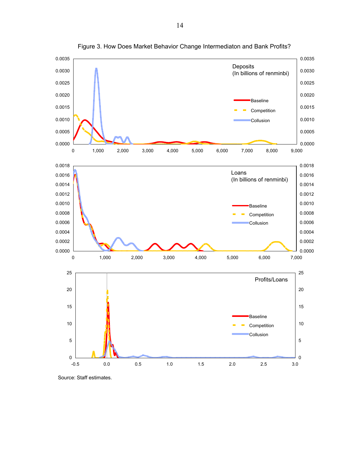

Figure 3. How Does Market Behavior Change Intermediaton and Bank Profits?

Source: Staff estimates.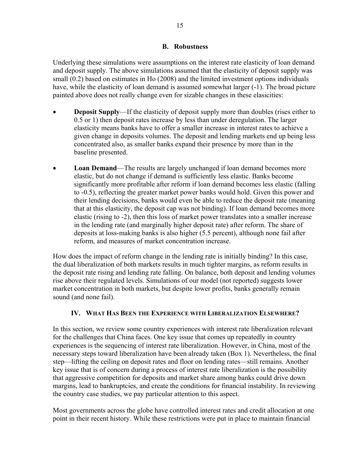## **B. Robustness**

Underlying these simulations were assumptions on the interest rate elasticity of loan demand and deposit supply. The above simulations assumed that the elasticity of deposit supply was small (0.2) based on estimates in Ho (2008) and the limited investment options individuals have, while the elasticity of loan demand is assumed somewhat larger  $(-1)$ . The broad picture painted above does not really change even for sizable changes in these elasicities:

- **Deposit Supply—If the elasticity of deposit supply more than doubles (rises either to** 0.5 or 1) then deposit rates increase by less than under deregulation. The larger elasticity means banks have to offer a smaller increase in interest rates to achieve a given change in deposits volumes. The deposit and lending markets end up being less concentrated also, as smaller banks expand their presence by more than in the baseline presented.
- **Loan Demand**—The results are largely unchanged if loan demand becomes more elastic, but do not change if demand is sufficiently less elastic. Banks become significantly more profitable after reform if loan demand becomes less elastic (falling to -0.5), reflecting the greater market power banks would hold. Given this power and their lending decisions, banks would even be able to reduce the deposit rate (meaning that at this elasticity, the deposit cap was not binding). If loan demand becomes more elastic (rising to -2), then this loss of market power translates into a smaller increase in the lending rate (and marginally higher deposit rate) after reform. The share of deposits at loss-making banks is also higher (5.5 percent), although none fail after reform, and measures of market concentration increase.

How does the impact of reform change in the lending rate is initially binding? In this case, the dual liberalization of both markets results in much tighter margins, as reform results in the deposit rate rising and lending rate falling. On balance, both deposit and lending volumes rise above their regulated levels. Simulations of our model (not reported) suggests lower market concentration in both markets, but despite lower profits, banks generally remain sound (and none fail).

# **IV. WHAT HAS BEEN THE EXPERIENCE WITH LIBERALIZATION ELSEWHERE?**

In this section, we review some country experiences with interest rate liberalization relevant for the challenges that China faces. One key issue that comes up repeatedly in country experiences is the sequencing of interest rate liberalization. However, in China, most of the necessary steps toward liberalization have been already taken (Box 1). Nevertheless, the final step—lifting the ceiling on deposit rates and floor on lending rates—still remains. Another key issue that is of concern during a process of interest rate liberalization is the possibility that aggressive competition for deposits and market share among banks could drive down margins, lead to bankruptcies, and create the conditions for financial instability. In reviewing the country case studies, we pay particular attention to this aspect.

Most governments across the globe have controlled interest rates and credit allocation at one point in their recent history. While these restrictions were put in place to maintain financial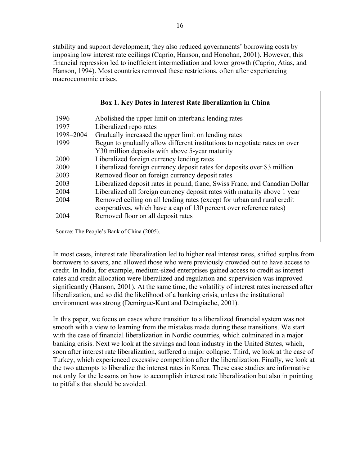stability and support development, they also reduced governments' borrowing costs by imposing low interest rate ceilings (Caprio, Hanson, and Honohan, 2001). However, this financial repression led to inefficient intermediation and lower growth (Caprio, Atias, and Hanson, 1994). Most countries removed these restrictions, often after experiencing macroeconomic crises.

| 1996      | Abolished the upper limit on interbank lending rates                                                                                           |
|-----------|------------------------------------------------------------------------------------------------------------------------------------------------|
| 1997      | Liberalized repo rates                                                                                                                         |
| 1998-2004 | Gradually increased the upper limit on lending rates                                                                                           |
| 1999      | Begun to gradually allow different institutions to negotiate rates on over                                                                     |
|           | Y30 million deposits with above 5-year maturity                                                                                                |
| 2000      | Liberalized foreign currency lending rates                                                                                                     |
| 2000      | Liberalized foreign currency deposit rates for deposits over \$3 million                                                                       |
| 2003      | Removed floor on foreign currency deposit rates                                                                                                |
| 2003      | Liberalized deposit rates in pound, franc, Swiss Franc, and Canadian Dollar                                                                    |
| 2004      | Liberalized all foreign currency deposit rates with maturity above 1 year                                                                      |
| 2004      | Removed ceiling on all lending rates (except for urban and rural credit<br>cooperatives, which have a cap of 130 percent over reference rates) |
| 2004      | Removed floor on all deposit rates                                                                                                             |

In most cases, interest rate liberalization led to higher real interest rates, shifted surplus from borrowers to savers, and allowed those who were previously crowded out to have access to credit. In India, for example, medium-sized enterprises gained access to credit as interest rates and credit allocation were liberalized and regulation and supervision was improved significantly (Hanson, 2001). At the same time, the volatility of interest rates increased after liberalization, and so did the likelihood of a banking crisis, unless the institutional environment was strong (Demirguc-Kunt and Detragiache, 2001).

In this paper, we focus on cases where transition to a liberalized financial system was not smooth with a view to learning from the mistakes made during these transitions. We start with the case of financial liberalization in Nordic countries, which culminated in a major banking crisis. Next we look at the savings and loan industry in the United States, which, soon after interest rate liberalization, suffered a major collapse. Third, we look at the case of Turkey, which experienced excessive competition after the liberalization. Finally, we look at the two attempts to liberalize the interest rates in Korea. These case studies are informative not only for the lessons on how to accomplish interest rate liberalization but also in pointing to pitfalls that should be avoided.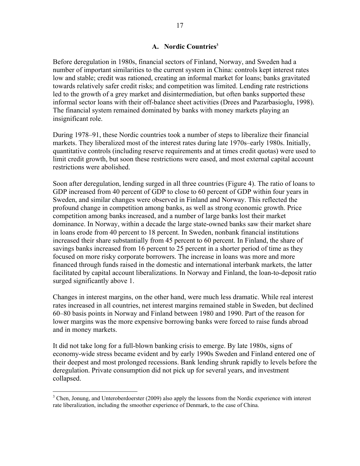Before deregulation in 1980s, financial sectors of Finland, Norway, and Sweden had a number of important similarities to the current system in China: controls kept interest rates low and stable; credit was rationed, creating an informal market for loans; banks gravitated towards relatively safer credit risks; and competition was limited. Lending rate restrictions led to the growth of a grey market and disintermediation, but often banks supported these informal sector loans with their off-balance sheet activities (Drees and Pazarbasioglu, 1998). The financial system remained dominated by banks with money markets playing an insignificant role.

During 1978–91, these Nordic countries took a number of steps to liberalize their financial markets. They liberalized most of the interest rates during late 1970s–early 1980s. Initially, quantitative controls (including reserve requirements and at times credit quotas) were used to limit credit growth, but soon these restrictions were eased, and most external capital account restrictions were abolished.

Soon after deregulation, lending surged in all three countries (Figure 4). The ratio of loans to GDP increased from 40 percent of GDP to close to 60 percent of GDP within four years in Sweden, and similar changes were observed in Finland and Norway. This reflected the profound change in competition among banks, as well as strong economic growth. Price competition among banks increased, and a number of large banks lost their market dominance. In Norway, within a decade the large state-owned banks saw their market share in loans erode from 40 percent to 18 percent. In Sweden, nonbank financial institutions increased their share substantially from 45 percent to 60 percent. In Finland, the share of savings banks increased from 16 percent to 25 percent in a shorter period of time as they focused on more risky corporate borrowers. The increase in loans was more and more financed through funds raised in the domestic and international interbank markets, the latter facilitated by capital account liberalizations. In Norway and Finland, the loan-to-deposit ratio surged significantly above 1.

Changes in interest margins, on the other hand, were much less dramatic. While real interest rates increased in all countries, net interest margins remained stable in Sweden, but declined 60–80 basis points in Norway and Finland between 1980 and 1990. Part of the reason for lower margins was the more expensive borrowing banks were forced to raise funds abroad and in money markets.

It did not take long for a full-blown banking crisis to emerge. By late 1980s, signs of economy-wide stress became evident and by early 1990s Sweden and Finland entered one of their deepest and most prolonged recessions. Bank lending shrunk rapidly to levels before the deregulation. Private consumption did not pick up for several years, and investment collapsed.

 $\overline{a}$ 

<sup>&</sup>lt;sup>3</sup> Chen, Jonung, and Unteroberdoerster (2009) also apply the lessons from the Nordic experience with interest rate liberalization, including the smoother experience of Denmark, to the case of China.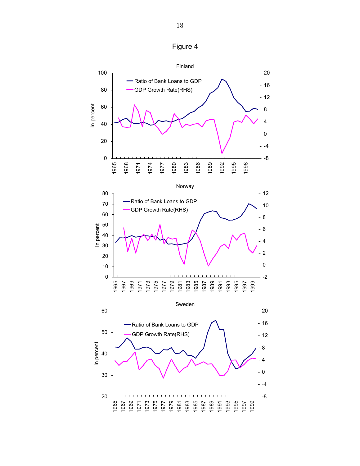

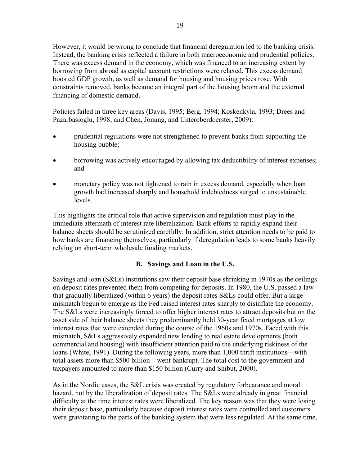However, it would be wrong to conclude that financial deregulation led to the banking crisis. Instead, the banking crisis reflected a failure in both macroeconomic and prudential policies. There was excess demand in the economy, which was financed to an increasing extent by borrowing from abroad as capital account restrictions were relaxed. This excess demand boosted GDP growth, as well as demand for housing and housing prices rose. With constraints removed, banks became an integral part of the housing boom and the external financing of domestic demand.

Policies failed in three key areas (Davis, 1995; Berg, 1994; Koskenkyla, 1993; Drees and Pazarbasioglu, 1998; and Chen, Jonung, and Unteroberdoerster, 2009):

- prudential regulations were not strengthened to prevent banks from supporting the housing bubble;
- borrowing was actively encouraged by allowing tax deductibility of interest expenses; and
- monetary policy was not tightened to rain in excess demand, especially when loan growth had increased sharply and household indebtedness surged to unsustainable levels.

This highlights the critical role that active supervision and regulation must play in the immediate aftermath of interest rate liberalization. Bank efforts to rapidly expand their balance sheets should be scrutinized carefully. In addition, strict attention needs to be paid to how banks are financing themselves, particularly if deregulation leads to some banks heavily relying on short-term wholesale funding markets.

# **B. Savings and Loan in the U.S.**

Savings and loan (S&Ls) institutions saw their deposit base shrinking in 1970s as the ceilings on deposit rates prevented them from competing for deposits. In 1980, the U.S. passed a law that gradually liberalized (within 6 years) the deposit rates S&Ls could offer. But a large mismatch begun to emerge as the Fed raised interest rates sharply to disinflate the economy. The S&Ls were increasingly forced to offer higher interest rates to attract deposits but on the asset side of their balance sheets they predominantly held 30-year fixed mortgages at low interest rates that were extended during the course of the 1960s and 1970s. Faced with this mismatch, S&Ls aggressively expanded new lending to real estate developments (both commercial and housing) with insufficient attention paid to the underlying riskiness of the loans (White, 1991). During the following years, more than 1,000 thrift institutions—with total assets more than \$500 billion—went bankrupt. The total cost to the government and taxpayers amounted to more than \$150 billion (Curry and Shibut, 2000).

As in the Nordic cases, the S&L crisis was created by regulatory forbearance and moral hazard, not by the liberalization of deposit rates. The S&Ls were already in great financial difficulty at the time interest rates were liberalized. The key reason was that they were losing their deposit base, particularly because deposit interest rates were controlled and customers were gravitating to the parts of the banking system that were less regulated. At the same time,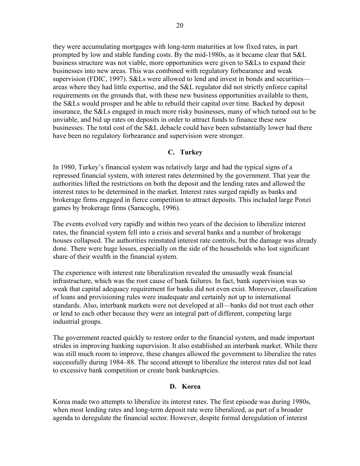they were accumulating mortgages with long-term maturities at low fixed rates, in part prompted by low and stable funding costs. By the mid-1980s, as it became clear that S&L business structure was not viable, more opportunities were given to S&Ls to expand their businesses into new areas. This was combined with regulatory forbearance and weak supervision (FDIC, 1997). S&Ls were allowed to lend and invest in bonds and securities areas where they had little expertise, and the S&L regulator did not strictly enforce capital requirements on the grounds that, with these new business opportunities available to them, the S&Ls would prosper and be able to rebuild their capital over time. Backed by deposit insurance, the S&Ls engaged in much more risky businesses, many of which turned out to be unviable, and bid up rates on deposits in order to attract funds to finance these new businesses. The total cost of the S&L debacle could have been substantially lower had there have been no regulatory forbearance and supervision were stronger.

## **C. Turkey**

In 1980, Turkey's financial system was relatively large and had the typical signs of a repressed financial system, with interest rates determined by the government. That year the authorities lifted the restrictions on both the deposit and the lending rates and allowed the interest rates to be determined in the market. Interest rates surged rapidly as banks and brokerage firms engaged in fierce competition to attract deposits. This included large Ponzi games by brokerage firms (Saracoglu, 1996).

The events evolved very rapidly and within two years of the decision to liberalize interest rates, the financial system fell into a crisis and several banks and a number of brokerage houses collapsed. The authorities reinstated interest rate controls, but the damage was already done. There were huge losses, especially on the side of the households who lost significant share of their wealth in the financial system.

The experience with interest rate liberalization revealed the unusually weak financial infrastructure, which was the root cause of bank failures. In fact, bank supervision was so weak that capital adequacy requirement for banks did not even exist. Moreover, classification of loans and provisioning rules were inadequate and certainly not up to international standards. Also, interbank markets were not developed at all—banks did not trust each other or lend to each other because they were an integral part of different, competing large industrial groups.

The government reacted quickly to restore order to the financial system, and made important strides in improving banking supervision. It also established an interbank market. While there was still much room to improve, these changes allowed the government to liberalize the rates successfully during 1984–88. The second attempt to liberalize the interest rates did not lead to excessive bank competition or create bank bankruptcies.

## **D. Korea**

Korea made two attempts to liberalize its interest rates. The first episode was during 1980s, when most lending rates and long-term deposit rate were liberalized, as part of a broader agenda to deregulate the financial sector. However, despite formal deregulation of interest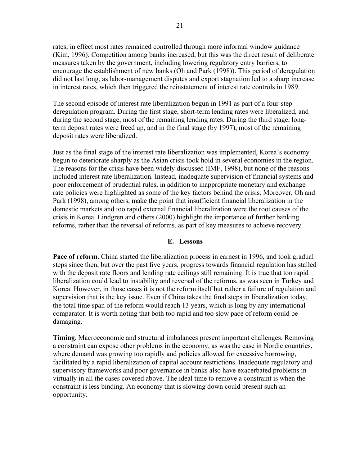rates, in effect most rates remained controlled through more informal window guidance (Kim, 1996). Competition among banks increased, but this was the direct result of deliberate measures taken by the government, including lowering regulatory entry barriers, to encourage the establishment of new banks (Oh and Park (1998)). This period of deregulation did not last long, as labor-management disputes and export stagnation led to a sharp increase in interest rates, which then triggered the reinstatement of interest rate controls in 1989.

The second episode of interest rate liberalization begun in 1991 as part of a four-step deregulation program. During the first stage, short-term lending rates were liberalized, and during the second stage, most of the remaining lending rates. During the third stage, longterm deposit rates were freed up, and in the final stage (by 1997), most of the remaining deposit rates were liberalized.

Just as the final stage of the interest rate liberalization was implemented, Korea's economy begun to deteriorate sharply as the Asian crisis took hold in several economies in the region. The reasons for the crisis have been widely discussed (IMF, 1998), but none of the reasons included interest rate liberalization. Instead, inadequate supervision of financial systems and poor enforcement of prudential rules, in addition to inappropriate monetary and exchange rate policies were highlighted as some of the key factors behind the crisis. Moreover, Oh and Park (1998), among others, make the point that insufficient financial liberalization in the domestic markets and too rapid external financial liberalization were the root causes of the crisis in Korea. Lindgren and others (2000) highlight the importance of further banking reforms, rather than the reversal of reforms, as part of key measures to achieve recovery.

## **E. Lessons**

**Pace of reform.** China started the liberalization process in earnest in 1996, and took gradual steps since then, but over the past five years, progress towards financial regulation has stalled with the deposit rate floors and lending rate ceilings still remaining. It is true that too rapid liberalization could lead to instability and reversal of the reforms, as was seen in Turkey and Korea. However, in those cases it is not the reform itself but rather a failure of regulation and supervision that is the key issue. Even if China takes the final steps in liberalization today, the total time span of the reform would reach 13 years, which is long by any international comparator. It is worth noting that both too rapid and too slow pace of reform could be damaging.

**Timing.** Macroeconomic and structural imbalances present important challenges. Removing a constraint can expose other problems in the economy, as was the case in Nordic countries, where demand was growing too rapidly and policies allowed for excessive borrowing, facilitated by a rapid liberalization of capital account restrictions. Inadequate regulatory and supervisory frameworks and poor governance in banks also have exacerbated problems in virtually in all the cases covered above. The ideal time to remove a constraint is when the constraint is less binding. An economy that is slowing down could present such an opportunity.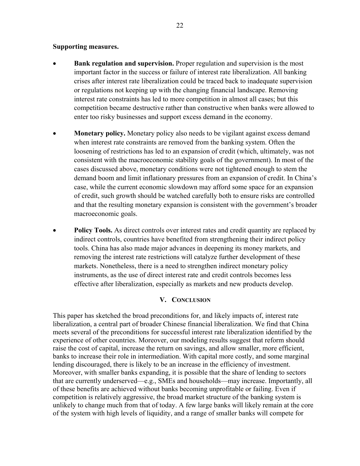## **Supporting measures.**

- **Bank regulation and supervision.** Proper regulation and supervision is the most important factor in the success or failure of interest rate liberalization. All banking crises after interest rate liberalization could be traced back to inadequate supervision or regulations not keeping up with the changing financial landscape. Removing interest rate constraints has led to more competition in almost all cases; but this competition became destructive rather than constructive when banks were allowed to enter too risky businesses and support excess demand in the economy.
- **Monetary policy.** Monetary policy also needs to be vigilant against excess demand when interest rate constraints are removed from the banking system. Often the loosening of restrictions has led to an expansion of credit (which, ultimately, was not consistent with the macroeconomic stability goals of the government). In most of the cases discussed above, monetary conditions were not tightened enough to stem the demand boom and limit inflationary pressures from an expansion of credit. In China's case, while the current economic slowdown may afford some space for an expansion of credit, such growth should be watched carefully both to ensure risks are controlled and that the resulting monetary expansion is consistent with the government's broader macroeconomic goals.
- **Policy Tools.** As direct controls over interest rates and credit quantity are replaced by indirect controls, countries have benefited from strengthening their indirect policy tools. China has also made major advances in deepening its money markets, and removing the interest rate restrictions will catalyze further development of these markets. Nonetheless, there is a need to strengthen indirect monetary policy instruments, as the use of direct interest rate and credit controls becomes less effective after liberalization, especially as markets and new products develop.

## **V. CONCLUSION**

This paper has sketched the broad preconditions for, and likely impacts of, interest rate liberalization, a central part of broader Chinese financial liberalization. We find that China meets several of the preconditions for successful interest rate liberalization identified by the experience of other countries. Moreover, our modeling results suggest that reform should raise the cost of capital, increase the return on savings, and allow smaller, more efficient, banks to increase their role in intermediation. With capital more costly, and some marginal lending discouraged, there is likely to be an increase in the efficiency of investment. Moreover, with smaller banks expanding, it is possible that the share of lending to sectors that are currently underserved—e.g., SMEs and households—may increase. Importantly, all of these benefits are achieved without banks becoming unprofitable or failing. Even if competition is relatively aggressive, the broad market structure of the banking system is unlikely to change much from that of today. A few large banks will likely remain at the core of the system with high levels of liquidity, and a range of smaller banks will compete for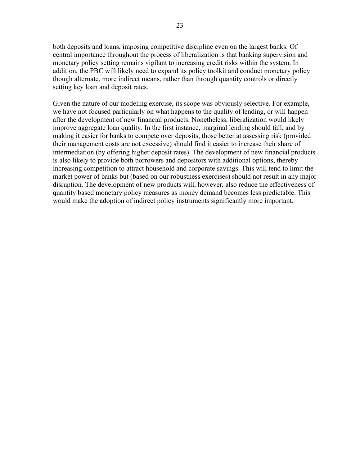both deposits and loans, imposing competitive discipline even on the largest banks. Of central importance throughout the process of liberalization is that banking supervision and monetary policy setting remains vigilant to increasing credit risks within the system. In addition, the PBC will likely need to expand its policy toolkit and conduct monetary policy though alternate, more indirect means, rather than through quantity controls or directly setting key loan and deposit rates.

Given the nature of our modeling exercise, its scope was obviously selective. For example, we have not focused particularly on what happens to the quality of lending, or will happen after the development of new financial products. Nonetheless, liberalization would likely improve aggregate loan quality. In the first instance, marginal lending should fall, and by making it easier for banks to compete over deposits, those better at assessing risk (provided their management costs are not excessive) should find it easier to increase their share of intermediation (by offering higher deposit rates). The development of new financial products is also likely to provide both borrowers and depositors with additional options, thereby increasing competition to attract household and corporate savings. This will tend to limit the market power of banks but (based on our robustness exercises) should not result in any major disruption. The development of new products will, however, also reduce the effectiveness of quantity based monetary policy measures as money demand becomes less predictable. This would make the adoption of indirect policy instruments significantly more important.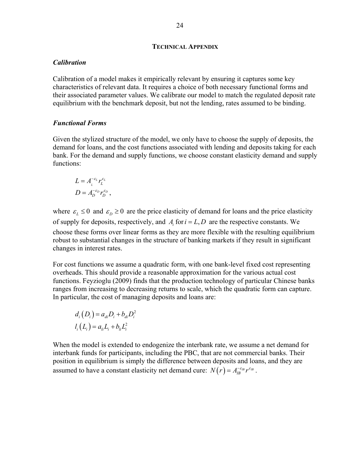#### **TECHNICAL APPENDIX**

#### *Calibration*

Calibration of a model makes it empirically relevant by ensuring it captures some key characteristics of relevant data. It requires a choice of both necessary functional forms and their associated parameter values. We calibrate our model to match the regulated deposit rate equilibrium with the benchmark deposit, but not the lending, rates assumed to be binding.

#### *Functional Forms*

Given the stylized structure of the model, we only have to choose the supply of deposits, the demand for loans, and the cost functions associated with lending and deposits taking for each bank. For the demand and supply functions, we choose constant elasticity demand and supply functions:

$$
L = A_L^{-\varepsilon_L} r_L^{\varepsilon_L}
$$
  

$$
D = A_D^{-\varepsilon_D} r_D^{\varepsilon_D},
$$

where  $\varepsilon_L \leq 0$  and  $\varepsilon_D \geq 0$  are the price elasticity of demand for loans and the price elasticity of supply for deposits, respectively, and  $A_i$  for  $i = L, D$  are the respective constants. We choose these forms over linear forms as they are more flexible with the resulting equilibrium robust to substantial changes in the structure of banking markets if they result in significant changes in interest rates.

For cost functions we assume a quadratic form, with one bank-level fixed cost representing overheads. This should provide a reasonable approximation for the various actual cost functions. Feyzioglu (2009) finds that the production technology of particular Chinese banks ranges from increasing to decreasing returns to scale, which the quadratic form can capture. In particular, the cost of managing deposits and loans are:

$$
d_i(D_i) = a_{di}D_i + b_{di}D_i^2
$$
  

$$
l_i(L_i) = a_{li}L_i + b_{li}L_i^2
$$

When the model is extended to endogenize the interbank rate, we assume a net demand for interbank funds for participants, including the PBC, that are not commercial banks. Their position in equilibrium is simply the difference between deposits and loans, and they are assumed to have a constant elasticity net demand cure:  $N(r) = A_B^{-\varepsilon_B} r^{\varepsilon_B}$ .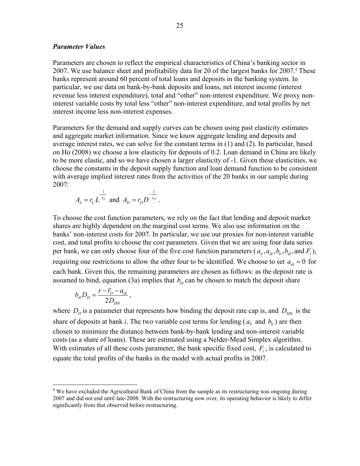## *Parameter Values*

Parameters are chosen to reflect the empirical characteristics of China's banking sector in 2007. We use balance sheet and profitability data for 20 of the largest banks for 2007.<sup>4</sup> These banks represent around 60 percent of total loans and deposits in the banking system. In particular, we use data on bank-by-bank deposits and loans, net interest income (interest revenue less interest expenditure), total and "other" non-interest expenditure. We proxy noninterest variable costs by total less "other" non-interest expenditure, and total profits by net interest income less non-interest expenses.

Parameters for the demand and supply curves can be chosen using past elasticity estimates and aggregate market information. Since we know aggregate lending and deposits and average interest rates, we can solve for the constant terms in (1) and (2). In particular, based on Ho (2008) we choose a low elasticity for deposits of 0.2. Loan demand in China are likely to be more elastic, and so we have chosen a larger elasticity of -1. Given these elasticities, we choose the constants in the deposit supply function and loan demand function to be consistent with average implied interest rates from the activities of the 20 banks in our sample during 2007:

$$
A_L = r_L L^{\frac{1}{\varepsilon_L}}
$$
 and  $A_D = r_D D^{\frac{1}{\varepsilon_D}}$ .

To choose the cost function parameters, we rely on the fact that lending and deposit market shares are highly dependent on the marginal cost terms. We also use information on the banks' non-interest costs for 2007. In particular, we use our proxies for non-interest variable cost, and total profits to choose the cost parameters. Given that we are using four data series per bank, we can only choose four of the five cost function parameters ( $a_{li}, a_{di}, b_{li}, b_{di}$ , and  $F_i$ ), requiring one restrictions to allow the other four to be identified. We choose to set  $a_{di} = 0$  for each bank. Given this, the remaining parameters are chosen as follows: as the deposit rate is assumed to bind, equation (3a) implies that  $b_{di}$  can be chosen to match the deposit share

$$
b_{di}D_D = \frac{r - \overline{r}_D - a_{di}}{2D_{SHi}},
$$

 $\overline{a}$ 

where  $D<sub>D</sub>$  is a parameter that represents how binding the deposit rate cap is, and  $D<sub>SHi</sub>$  is the share of deposits at bank *i*. The two variable cost terms for lending ( $a_{li}$  and  $b_{li}$ ) are then chosen to minimize the distance between bank-by-bank lending and non-interest variable costs (as a share of loans). These are estimated using a Nelder-Mead Simplex algorithm. With estimates of all these costs parameter, the bank specific fixed cost,  $F_i$ , is calculated to equate the total profits of the banks in the model with actual profits in 2007.

<sup>&</sup>lt;sup>4</sup> We have excluded the Agricultural Bank of China from the sample as its restructuring was ongoing during 2007 and did not end until late-2008. With the restructuring now over, its operating behavior is likely to differ significantly from that observed before restructuring.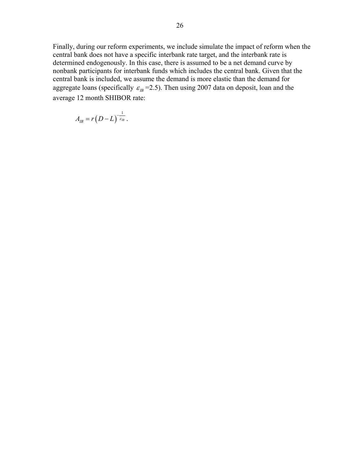Finally, during our reform experiments, we include simulate the impact of reform when the central bank does not have a specific interbank rate target, and the interbank rate is determined endogenously. In this case, there is assumed to be a net demand curve by nonbank participants for interbank funds which includes the central bank. Given that the central bank is included, we assume the demand is more elastic than the demand for aggregate loans (specifically  $\varepsilon_B = 2.5$ ). Then using 2007 data on deposit, loan and the average 12 month SHIBOR rate:

$$
A_{IB}=r(D-L)^{-\frac{1}{\varepsilon_{IB}}}.
$$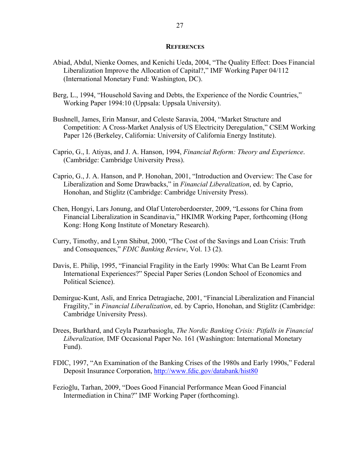#### **REFERENCES**

- Abiad, Abdul, Nienke Oomes, and Kenichi Ueda, 2004, "The Quality Effect: Does Financial Liberalization Improve the Allocation of Capital?," IMF Working Paper 04/112 (International Monetary Fund: Washington, DC).
- Berg, L., 1994, "Household Saving and Debts, the Experience of the Nordic Countries," Working Paper 1994:10 (Uppsala: Uppsala University).
- Bushnell, James, Erin Mansur, and Celeste Saravia, 2004, "Market Structure and Competition: A Cross-Market Analysis of US Electricity Deregulation," CSEM Working Paper 126 (Berkeley, California: University of California Energy Institute).
- Caprio, G., I. Atiyas, and J. A. Hanson, 1994, *Financial Reform: Theory and Experience*. (Cambridge: Cambridge University Press).
- Caprio, G., J. A. Hanson, and P. Honohan, 2001, "Introduction and Overview: The Case for Liberalization and Some Drawbacks," in *Financial Liberalization*, ed. by Caprio, Honohan, and Stiglitz (Cambridge: Cambridge University Press).
- Chen, Hongyi, Lars Jonung, and Olaf Unteroberdoerster, 2009, "Lessons for China from Financial Liberalization in Scandinavia," HKIMR Working Paper, forthcoming (Hong Kong: Hong Kong Institute of Monetary Research).
- Curry, Timothy, and Lynn Shibut, 2000, "The Cost of the Savings and Loan Crisis: Truth and Consequences," *FDIC Banking Review*, Vol. 13 (2).
- Davis, E. Philip, 1995, "Financial Fragility in the Early 1990s: What Can Be Learnt From International Experiences?" Special Paper Series (London School of Economics and Political Science).
- Demirguc-Kunt, Asli, and Enrica Detragiache, 2001, "Financial Liberalization and Financial Fragility," in *Financial Liberalization*, ed. by Caprio, Honohan, and Stiglitz (Cambridge: Cambridge University Press).
- Drees, Burkhard, and Ceyla Pazarbasioglu, *The Nordic Banking Crisis: Pitfalls in Financial Liberalization,* IMF Occasional Paper No. 161 (Washington: International Monetary Fund).
- FDIC, 1997, "An Examination of the Banking Crises of the 1980s and Early 1990s," Federal Deposit Insurance Corporation, http://www.fdic.gov/databank/hist80
- Fezioğlu, Tarhan, 2009, "Does Good Financial Performance Mean Good Financial Intermediation in China?" IMF Working Paper (forthcoming).